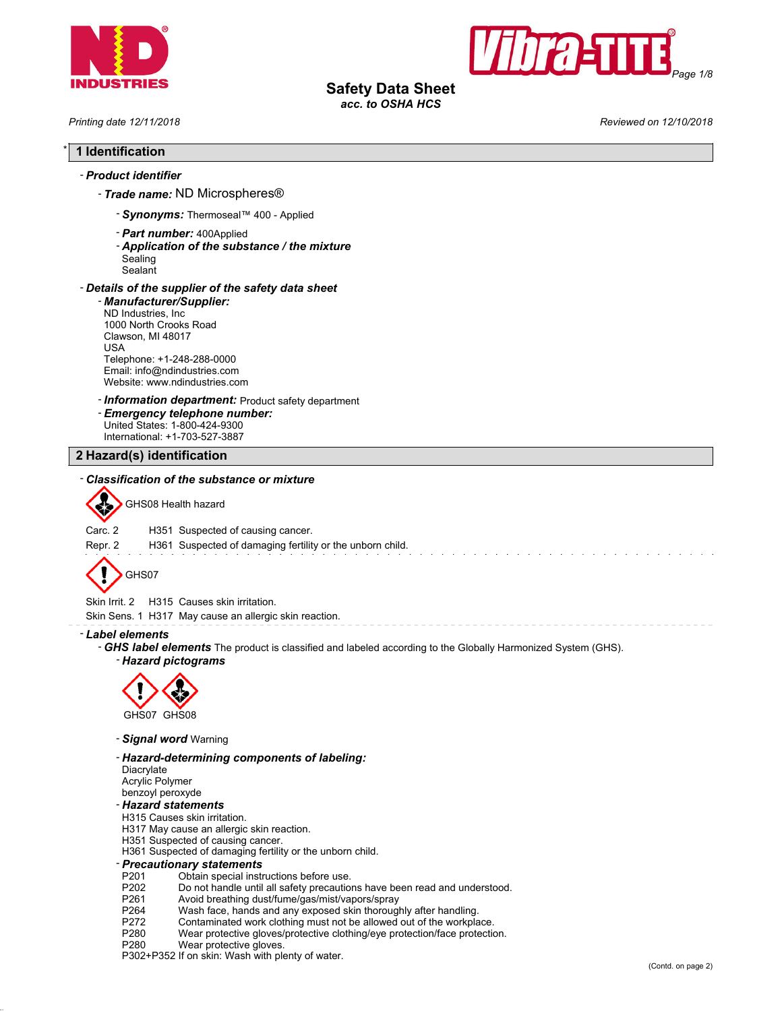



# **Safety Data Sheet**

*acc. to OSHA HCS*

*Printing date 12/11/2018 Reviewed on 12/10/2018*

### \* **1 Identification**

### - *Product identifier*

- *Trade name:* ND Microspheres®

- *Synonyms:* Thermoseal™ 400 Applied
- *Part number:* 400Applied
- *Application of the substance / the mixture*
- Sealing **Sealant**

#### - *Details of the supplier of the safety data sheet*

- *Manufacturer/Supplier:*
- ND Industries, Inc 1000 North Crooks Road Clawson, MI 48017 USA Telephone: +1-248-288-0000 Email: info@ndindustries.com Website: www.ndindustries.com
- *Information department:* Product safety department
- *Emergency telephone number:* United States: 1-800-424-9300
- International: +1-703-527-3887 **2 Hazard(s) identification**

### - *Classification of the substance or mixture*



GHS08 Health hazard

Carc. 2 H351 Suspected of causing cancer.

Repr. 2 H361 Suspected of damaging fertility or the unborn child.

$$
\bigotimes \mathrm{GHS07}
$$

Skin Irrit. 2 H315 Causes skin irritation.

Skin Sens. 1 H317 May cause an allergic skin reaction.

#### - *Label elements*

- *GHS label elements* The product is classified and labeled according to the Globally Harmonized System (GHS).
	- *Hazard pictograms*



- 
- *Signal word* Warning

#### - *Hazard-determining components of labeling:*

Diacrylate Acrylic Polymer benzoyl peroxyde

#### - *Hazard statements*

- H315 Causes skin irritation.
- H317 May cause an allergic skin reaction.
- H351 Suspected of causing cancer.
- H361 Suspected of damaging fertility or the unborn child.

# - *Precautionary statements*

- P201 Obtain special instructions before use.<br>P202 Do not handle until all safety precaution
- Do not handle until all safety precautions have been read and understood.
- P261 Avoid breathing dust/fume/gas/mist/vapors/spray
- 
- P264 Wash face, hands and any exposed skin thoroughly after handling.<br>P272 Contaminated work clothing must not be allowed out of the workpla
- P272 Contaminated work clothing must not be allowed out of the workplace.<br>P280 Wear protective gloves/protective clothing/eye protection/face protection Wear protective gloves/protective clothing/eye protection/face protection.
- P280 Wear protective gloves.

P302+P352 If on skin: Wash with plenty of water.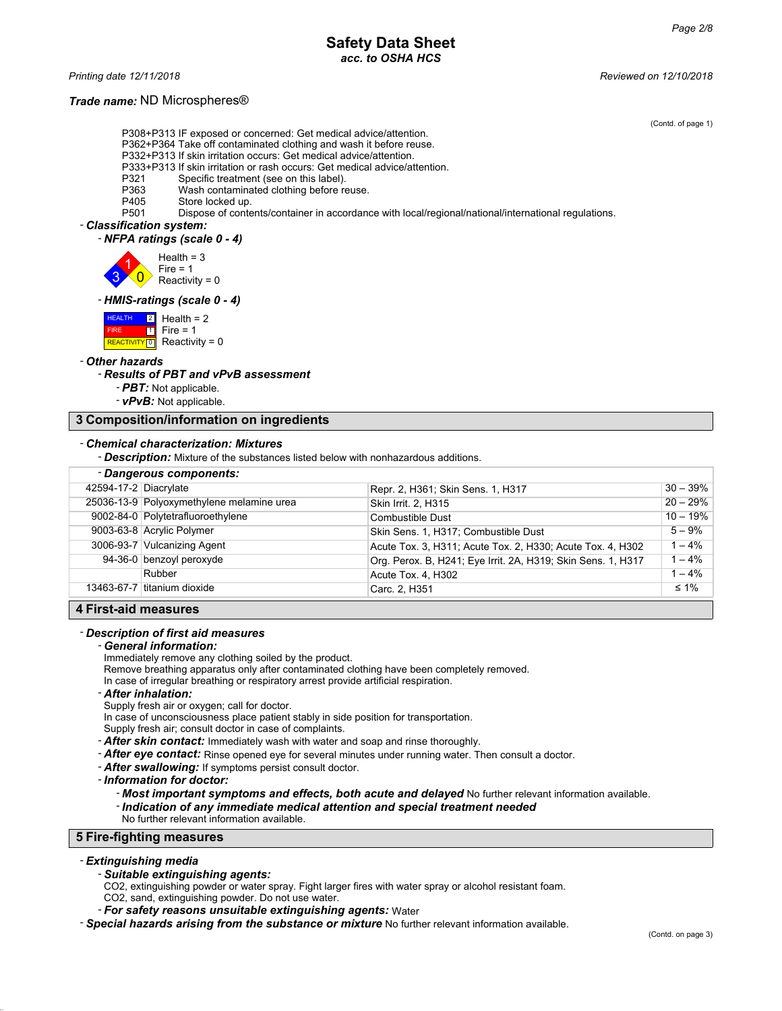### **Safety Data Sheet** *acc. to OSHA HCS*

*Printing date 12/11/2018 Reviewed on 12/10/2018*

#### *Trade name:* ND Microspheres®

(Contd. of page 1)

P308+P313 IF exposed or concerned: Get medical advice/attention.

- P362+P364 Take off contaminated clothing and wash it before reuse.
- P332+P313 If skin irritation occurs: Get medical advice/attention. P333+P313 If skin irritation or rash occurs: Get medical advice/attention.
- P321 Specific treatment (see on this label).
- P363 Wash contaminated clothing before reuse.<br>P405 Store locked up.
- 

P405 Store locked up.<br>P501 Dispose of conte Dispose of contents/container in accordance with local/regional/national/international regulations.

#### - *Classification system:*

- *NFPA ratings (scale 0 - 4)*

3 1  $\overline{0}$  $Health = 3$ Fire = 1 Reactivity =  $0$ 

#### - *HMIS-ratings (scale 0 - 4)*



#### - *Other hazards*

#### - *Results of PBT and vPvB assessment*

- *PBT:* Not applicable.
- *vPvB:* Not applicable.

#### **3 Composition/information on ingredients**

#### - *Chemical characterization: Mixtures*

- *Description:* Mixture of the substances listed below with nonhazardous additions.

| - Dangerous components: |                                           |                                                              |             |  |
|-------------------------|-------------------------------------------|--------------------------------------------------------------|-------------|--|
| 42594-17-2 Diacrylate   |                                           | Repr. 2, H361; Skin Sens. 1, H317                            | $30 - 39\%$ |  |
|                         | 25036-13-9 Polyoxymethylene melamine urea | Skin Irrit. 2, H315                                          | $20 - 29%$  |  |
|                         | 9002-84-0 Polytetrafluoroethylene         | Combustible Dust                                             | $10 - 19%$  |  |
|                         | 9003-63-8 Acrylic Polymer                 | Skin Sens. 1, H317; Combustible Dust                         | $5 - 9%$    |  |
|                         | 3006-93-7 Vulcanizing Agent               | Acute Tox. 3, H311; Acute Tox. 2, H330; Acute Tox. 4, H302   | $1 - 4%$    |  |
|                         | 94-36-0 benzoyl peroxyde                  | Org. Perox. B. H241; Eye Irrit. 2A, H319; Skin Sens. 1, H317 | $1 - 4%$    |  |
|                         | Rubber                                    | Acute Tox. 4, H302                                           | $1 - 4%$    |  |
|                         | 13463-67-7 Ititanium dioxide              | Carc. 2, H351                                                | $\leq 1\%$  |  |
|                         |                                           |                                                              |             |  |

#### **4 First-aid measures**

#### - *Description of first aid measures*

#### - *General information:*

Immediately remove any clothing soiled by the product.

Remove breathing apparatus only after contaminated clothing have been completely removed.

In case of irregular breathing or respiratory arrest provide artificial respiration.

#### - *After inhalation:*

Supply fresh air or oxygen; call for doctor.

- In case of unconsciousness place patient stably in side position for transportation.
- Supply fresh air; consult doctor in case of complaints.
- *After skin contact:* Immediately wash with water and soap and rinse thoroughly.
- *After eye contact:* Rinse opened eye for several minutes under running water. Then consult a doctor.
- *After swallowing:* If symptoms persist consult doctor.

- *Information for doctor:*

- *Most important symptoms and effects, both acute and delayed* No further relevant information available.

- *Indication of any immediate medical attention and special treatment needed*
- No further relevant information available.

#### **5 Fire-fighting measures**

#### - *Extinguishing media*

#### - *Suitable extinguishing agents:*

CO2, extinguishing powder or water spray. Fight larger fires with water spray or alcohol resistant foam.

CO2, sand, extinguishing powder. Do not use water.

- *For safety reasons unsuitable extinguishing agents:* Water

- *Special hazards arising from the substance or mixture* No further relevant information available.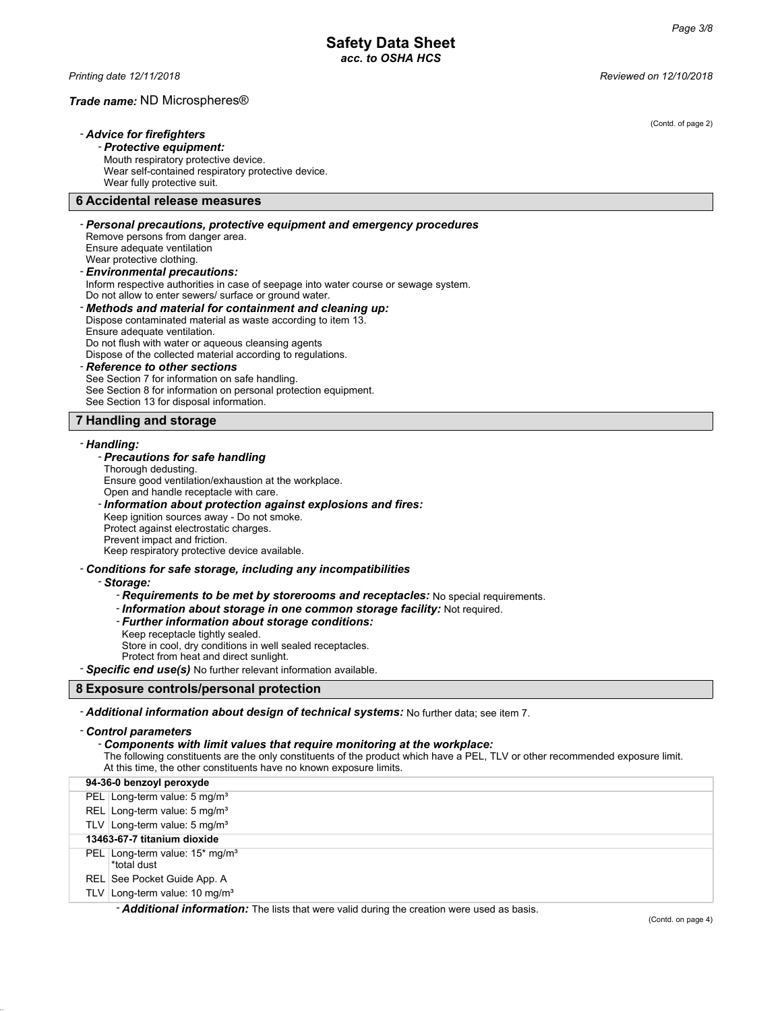#### *Trade name:* ND Microspheres®

### - *Advice for firefighters*

- *Protective equipment:* Mouth respiratory protective device.

Wear self-contained respiratory protective device. Wear fully protective suit.

#### **6 Accidental release measures**

#### - *Personal precautions, protective equipment and emergency procedures* Remove persons from danger area. Ensure adequate ventilation Wear protective clothing. - *Environmental precautions:* Inform respective authorities in case of seepage into water course or sewage system. Do not allow to enter sewers/ surface or ground water. - *Methods and material for containment and cleaning up:* Dispose contaminated material as waste according to item 13.

Ensure adequate ventilation. Do not flush with water or aqueous cleansing agents Dispose of the collected material according to regulations.

#### - *Reference to other sections*

See Section 7 for information on safe handling. See Section 8 for information on personal protection equipment. See Section 13 for disposal information.

#### **7 Handling and storage**

#### - *Handling:*

#### - *Precautions for safe handling*

Thorough dedusting. Ensure good ventilation/exhaustion at the workplace. Open and handle receptacle with care. - *Information about protection against explosions and fires:* Keep ignition sources away - Do not smoke. Protect against electrostatic charges. Prevent impact and friction. Keep respiratory protective device available.

#### - *Conditions for safe storage, including any incompatibilities*

#### - *Storage:*

- *Requirements to be met by storerooms and receptacles:* No special requirements.

- *Information about storage in one common storage facility:* Not required.

- *Further information about storage conditions:*
- Keep receptacle tightly sealed.

Store in cool, dry conditions in well sealed receptacles.

Protect from heat and direct sunlight.

- *Specific end use(s)* No further relevant information available.

#### **8 Exposure controls/personal protection**

- *Additional information about design of technical systems:* No further data; see item 7.

#### - *Control parameters*

- *Components with limit values that require monitoring at the workplace:*

The following constituents are the only constituents of the product which have a PEL, TLV or other recommended exposure limit. At this time, the other constituents have no known exposure limits.

| 94-36-0 benzoyl peroxyde                                      |
|---------------------------------------------------------------|
| PEL Long-term value: 5 mg/m <sup>3</sup>                      |
| REL Long-term value: $5 \text{ mg/m}^3$                       |
| TLV Long-term value: $5 \text{ mg/m}^3$                       |
| 13463-67-7 titanium dioxide                                   |
| PEL   Long-term value: $15*$ mg/m <sup>3</sup><br>*total dust |
| REL See Pocket Guide App. A                                   |
| TLV Long-term value: $10 \text{ mg/m}^3$                      |
|                                                               |

- *Additional information:* The lists that were valid during the creation were used as basis.

(Contd. of page 2)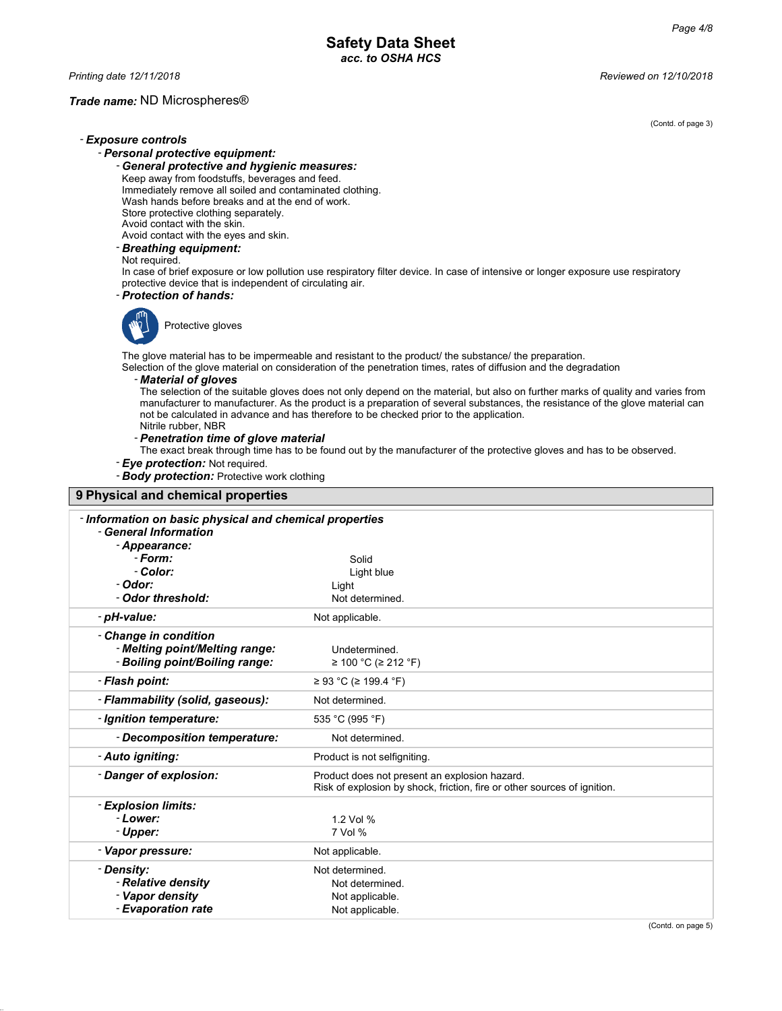#### *Trade name:* ND Microspheres®

(Contd. of page 3)

#### - *Exposure controls* - *Personal protective equipment:*

- *General protective and hygienic measures:* Keep away from foodstuffs, beverages and feed. Immediately remove all soiled and contaminated clothing. Wash hands before breaks and at the end of work. Store protective clothing separately.

Avoid contact with the skin.

Avoid contact with the eyes and skin.

### - *Breathing equipment:*

Not required.

In case of brief exposure or low pollution use respiratory filter device. In case of intensive or longer exposure use respiratory protective device that is independent of circulating air.

### - *Protection of hands:*



Protective gloves

The glove material has to be impermeable and resistant to the product/ the substance/ the preparation. Selection of the glove material on consideration of the penetration times, rates of diffusion and the degradation

#### - *Material of gloves*

The selection of the suitable gloves does not only depend on the material, but also on further marks of quality and varies from manufacturer to manufacturer. As the product is a preparation of several substances, the resistance of the glove material can not be calculated in advance and has therefore to be checked prior to the application. Nitrile rubber, NBR

### - *Penetration time of glove material*

The exact break through time has to be found out by the manufacturer of the protective gloves and has to be observed.

- *Eye protection:* Not required.

- *Body protection:* Protective work clothing

| 9 Physical and chemical properties                                                        |                                                                                                                           |  |  |
|-------------------------------------------------------------------------------------------|---------------------------------------------------------------------------------------------------------------------------|--|--|
| - Information on basic physical and chemical properties<br>- General Information          |                                                                                                                           |  |  |
| - Appearance:                                                                             |                                                                                                                           |  |  |
| - Form:                                                                                   | Solid                                                                                                                     |  |  |
| - Color:                                                                                  | Light blue                                                                                                                |  |  |
| - Odor:                                                                                   | Light                                                                                                                     |  |  |
| - Odor threshold:                                                                         | Not determined.                                                                                                           |  |  |
| - pH-value:                                                                               | Not applicable.                                                                                                           |  |  |
| - Change in condition<br>- Melting point/Melting range:<br>- Boiling point/Boiling range: | Undetermined.<br>≥ 100 °C (≥ 212 °F)                                                                                      |  |  |
| - Flash point:                                                                            | ≥ 93 °C (≥ 199.4 °F)                                                                                                      |  |  |
| - Flammability (solid, gaseous):                                                          | Not determined.                                                                                                           |  |  |
| - Ignition temperature:                                                                   | 535 °C (995 °F)                                                                                                           |  |  |
| - Decomposition temperature:                                                              | Not determined.                                                                                                           |  |  |
| - Auto igniting:                                                                          | Product is not selfigniting.                                                                                              |  |  |
| - Danger of explosion:                                                                    | Product does not present an explosion hazard.<br>Risk of explosion by shock, friction, fire or other sources of ignition. |  |  |
| - Explosion limits:                                                                       |                                                                                                                           |  |  |
| - Lower:                                                                                  | 1.2 Vol %                                                                                                                 |  |  |
| - Upper:                                                                                  | 7 Vol %                                                                                                                   |  |  |
| - Vapor pressure:                                                                         | Not applicable.                                                                                                           |  |  |
| - Density:                                                                                | Not determined.                                                                                                           |  |  |
| - Relative density                                                                        | Not determined.                                                                                                           |  |  |
| - Vapor density                                                                           | Not applicable.                                                                                                           |  |  |
| - Evaporation rate                                                                        | Not applicable.                                                                                                           |  |  |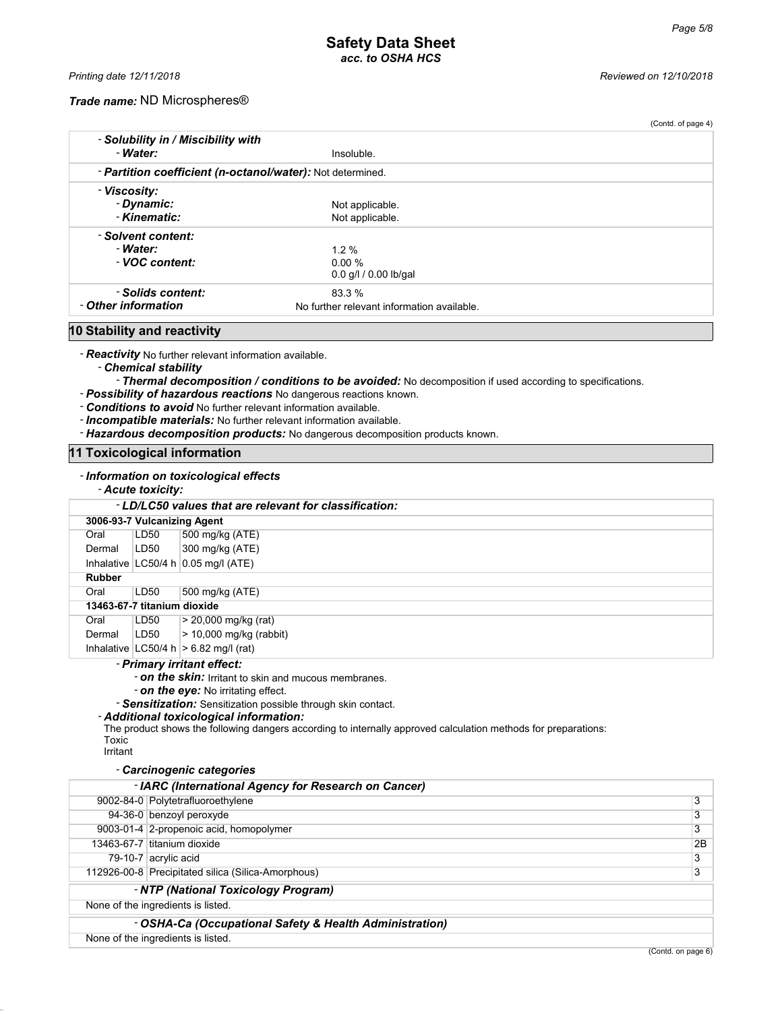#### *Trade name:* ND Microspheres®

| - Water:                                                   |                                            |  |
|------------------------------------------------------------|--------------------------------------------|--|
|                                                            | Insoluble.                                 |  |
| - Partition coefficient (n-octanol/water): Not determined. |                                            |  |
| - Viscosity:                                               |                                            |  |
| - Dynamic:                                                 | Not applicable.                            |  |
| - Kinematic:                                               | Not applicable.                            |  |
| - Solvent content:                                         |                                            |  |
| - Water:                                                   | $1.2\%$                                    |  |
| - VOC content:                                             | 0.00%                                      |  |
|                                                            | $0.0$ g/l $/ 0.00$ lb/gal                  |  |
| - Solids content:                                          | 83.3%                                      |  |
| - Other information                                        | No further relevant information available. |  |

### **10 Stability and reactivity**

- *Reactivity* No further relevant information available.

- *Chemical stability*

- *Thermal decomposition / conditions to be avoided:* No decomposition if used according to specifications.

- *Possibility of hazardous reactions* No dangerous reactions known.
- *Conditions to avoid* No further relevant information available.
- *Incompatible materials:* No further relevant information available.
- *Hazardous decomposition products:* No dangerous decomposition products known.

#### **11 Toxicological information**

#### - *Information on toxicological effects*

#### - *Acute toxicity:*

| - LD/LC50 values that are relevant for classification: |                             |                                           |  |  |
|--------------------------------------------------------|-----------------------------|-------------------------------------------|--|--|
|                                                        | 3006-93-7 Vulcanizing Agent |                                           |  |  |
| Oral                                                   | LD50                        | 500 mg/kg (ATE)                           |  |  |
| Dermal                                                 | LD50                        | 300 mg/kg (ATE)                           |  |  |
|                                                        |                             | Inhalative $ LC50/4 h 0.05$ mg/l (ATE)    |  |  |
| <b>Rubber</b>                                          |                             |                                           |  |  |
| Oral                                                   | LD50                        | 500 mg/kg (ATE)                           |  |  |
| 13463-67-7 titanium dioxide                            |                             |                                           |  |  |
| Oral                                                   | LD50                        | $> 20,000$ mg/kg (rat)                    |  |  |
| Dermal                                                 | LD50                        | $>$ 10,000 mg/kg (rabbit)                 |  |  |
|                                                        |                             | Inhalative $ LC50/4 h  > 6.82$ mg/l (rat) |  |  |

#### - *Primary irritant effect:*

- *on the skin:* Irritant to skin and mucous membranes.

- *on the eye:* No irritating effect.

- *Sensitization:* Sensitization possible through skin contact.

#### - *Additional toxicological information:*

The product shows the following dangers according to internally approved calculation methods for preparations: Toxic

Irritant

#### - *Carcinogenic categories*

| - IARC (International Agency for Research on Cancer)    |                                                    |    |  |
|---------------------------------------------------------|----------------------------------------------------|----|--|
|                                                         | 9002-84-0 Polytetrafluoroethylene                  | 3  |  |
|                                                         | 94-36-0 benzoyl peroxyde                           | 3  |  |
|                                                         | 9003-01-4 2-propenoic acid, homopolymer            | 3  |  |
|                                                         | 13463-67-7 titanium dioxide                        | 2B |  |
|                                                         | 79-10-7 acrylic acid                               | 3  |  |
|                                                         | 112926-00-8 Precipitated silica (Silica-Amorphous) |    |  |
|                                                         | - NTP (National Toxicology Program)                |    |  |
| None of the ingredients is listed.                      |                                                    |    |  |
| - OSHA-Ca (Occupational Safety & Health Administration) |                                                    |    |  |
| None of the ingredients is listed.                      |                                                    |    |  |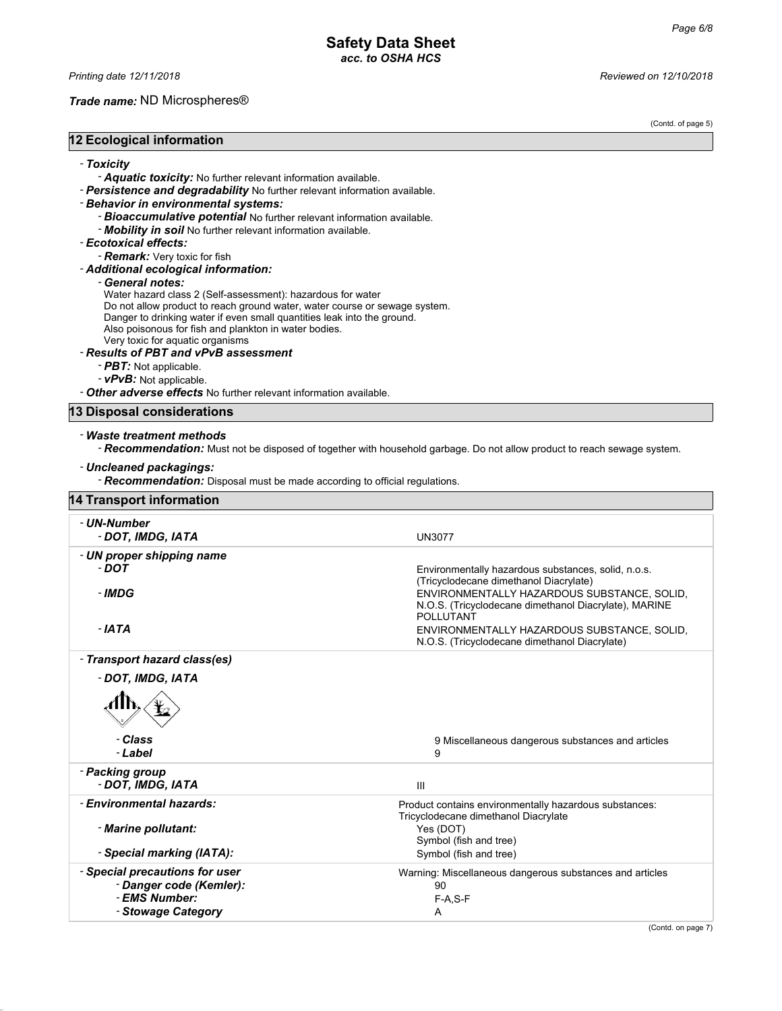#### *Trade name:* ND Microspheres®

(Contd. of page 5)

#### **12 Ecological information**

- *Toxicity*

- *Aquatic toxicity:* No further relevant information available.

- *Persistence and degradability* No further relevant information available.

#### - *Behavior in environmental systems:*

- *Bioaccumulative potential* No further relevant information available.
- *Mobility in soil* No further relevant information available.

#### - *Ecotoxical effects:*

- *Remark:* Very toxic for fish

- *Additional ecological information:*

#### - *General notes:*

Water hazard class 2 (Self-assessment): hazardous for water

Do not allow product to reach ground water, water course or sewage system.

Danger to drinking water if even small quantities leak into the ground.

Also poisonous for fish and plankton in water bodies.

Very toxic for aquatic organisms

#### - *Results of PBT and vPvB assessment*

- *PBT:* Not applicable.
- *vPvB:* Not applicable.

- *Other adverse effects* No further relevant information available.

#### **13 Disposal considerations**

#### - *Waste treatment methods*

- *Recommendation:* Must not be disposed of together with household garbage. Do not allow product to reach sewage system.

#### - *Uncleaned packagings:*

- *Recommendation:* Disposal must be made according to official regulations.

|  | <b>14 Transport information</b> |
|--|---------------------------------|
|  |                                 |

| - UN-Number<br>- DOT, IMDG, IATA | <b>UN3077</b>                                                             |
|----------------------------------|---------------------------------------------------------------------------|
| - UN proper shipping name        |                                                                           |
| - DOT                            | Environmentally hazardous substances, solid, n.o.s.                       |
|                                  | (Tricyclodecane dimethanol Diacrylate)                                    |
| - IMDG                           | ENVIRONMENTALLY HAZARDOUS SUBSTANCE, SOLID.                               |
|                                  |                                                                           |
|                                  | N.O.S. (Tricyclodecane dimethanol Diacrylate), MARINE<br><b>POLLUTANT</b> |
|                                  |                                                                           |
| - IATA                           | ENVIRONMENTALLY HAZARDOUS SUBSTANCE, SOLID.                               |
|                                  | N.O.S. (Tricyclodecane dimethanol Diacrylate)                             |
| - Transport hazard class(es)     |                                                                           |
| - DOT, IMDG, IATA                |                                                                           |
|                                  |                                                                           |
| - Class                          | 9 Miscellaneous dangerous substances and articles                         |
| - Label                          | 9                                                                         |
|                                  |                                                                           |
| - Packing group                  |                                                                           |
| - DOT, IMDG, IATA                | $\mathbf{III}$                                                            |
| - Environmental hazards:         | Product contains environmentally hazardous substances:                    |
|                                  | Tricyclodecane dimethanol Diacrylate                                      |
| - Marine pollutant:              | Yes (DOT)                                                                 |
|                                  | Symbol (fish and tree)                                                    |
| - Special marking (IATA):        | Symbol (fish and tree)                                                    |
|                                  |                                                                           |
| - Special precautions for user   | Warning: Miscellaneous dangerous substances and articles                  |
| - Danger code (Kemler):          | 90                                                                        |
| - EMS Number:                    | $F-A.S-F$                                                                 |
| - Stowage Category               | A                                                                         |
|                                  |                                                                           |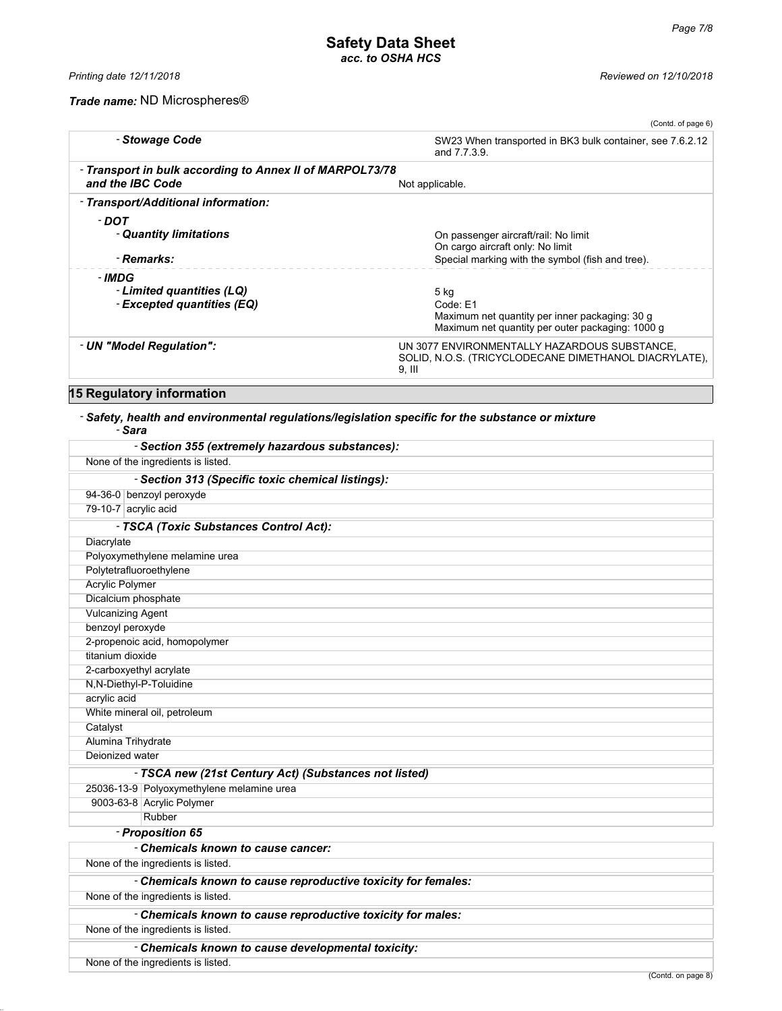### *Trade name:* ND Microspheres®

|                                                                              | (Contd. of page 6)                                                                                                     |
|------------------------------------------------------------------------------|------------------------------------------------------------------------------------------------------------------------|
| - Stowage Code                                                               | SW23 When transported in BK3 bulk container, see 7.6.2.12<br>and 7.7.3.9.                                              |
| - Transport in bulk according to Annex II of MARPOL73/78<br>and the IBC Code | Not applicable.                                                                                                        |
| - Transport/Additional information:                                          |                                                                                                                        |
| - DOT<br>- Quantity limitations                                              | On passenger aircraft/rail: No limit<br>On cargo aircraft only: No limit                                               |
| - Remarks:                                                                   | Special marking with the symbol (fish and tree).                                                                       |
| - IMDG<br>- Limited quantities (LQ)<br>- Excepted quantities (EQ)            | 5 kg<br>Code: E1<br>Maximum net quantity per inner packaging: 30 g<br>Maximum net quantity per outer packaging: 1000 g |
| - UN "Model Regulation":                                                     | UN 3077 ENVIRONMENTALLY HAZARDOUS SUBSTANCE,<br>SOLID, N.O.S. (TRICYCLODECANE DIMETHANOL DIACRYLATE),<br>$9.$ III      |

### **15 Regulatory information**

### - *Safety, health and environmental regulations/legislation specific for the substance or mixture*

- *Sara*

|                          | - Section 355 (extremely hazardous substances):               |
|--------------------------|---------------------------------------------------------------|
|                          | None of the ingredients is listed.                            |
|                          | - Section 313 (Specific toxic chemical listings):             |
|                          | 94-36-0 benzoyl peroxyde                                      |
| 79-10-7 acrylic acid     |                                                               |
|                          | - TSCA (Toxic Substances Control Act):                        |
| Diacrylate               |                                                               |
|                          | Polyoxymethylene melamine urea                                |
| Polytetrafluoroethylene  |                                                               |
| Acrylic Polymer          |                                                               |
| Dicalcium phosphate      |                                                               |
| <b>Vulcanizing Agent</b> |                                                               |
| benzoyl peroxyde         |                                                               |
|                          | 2-propenoic acid, homopolymer                                 |
| titanium dioxide         |                                                               |
| 2-carboxyethyl acrylate  |                                                               |
| N,N-Diethyl-P-Toluidine  |                                                               |
| acrylic acid             |                                                               |
|                          | White mineral oil, petroleum                                  |
| Catalyst                 |                                                               |
| Alumina Trihydrate       |                                                               |
| Deionized water          |                                                               |
|                          | - TSCA new (21st Century Act) (Substances not listed)         |
|                          | 25036-13-9 Polyoxymethylene melamine urea                     |
|                          | 9003-63-8 Acrylic Polymer                                     |
|                          | Rubber                                                        |
|                          | - Proposition 65                                              |
|                          | - Chemicals known to cause cancer:                            |
|                          | None of the ingredients is listed.                            |
|                          | - Chemicals known to cause reproductive toxicity for females: |
|                          | None of the ingredients is listed.                            |
|                          | - Chemicals known to cause reproductive toxicity for males:   |
|                          | None of the ingredients is listed.                            |
|                          | - Chemicals known to cause developmental toxicity:            |
|                          | None of the ingredients is listed.                            |
|                          | (Contd. on page 8)                                            |